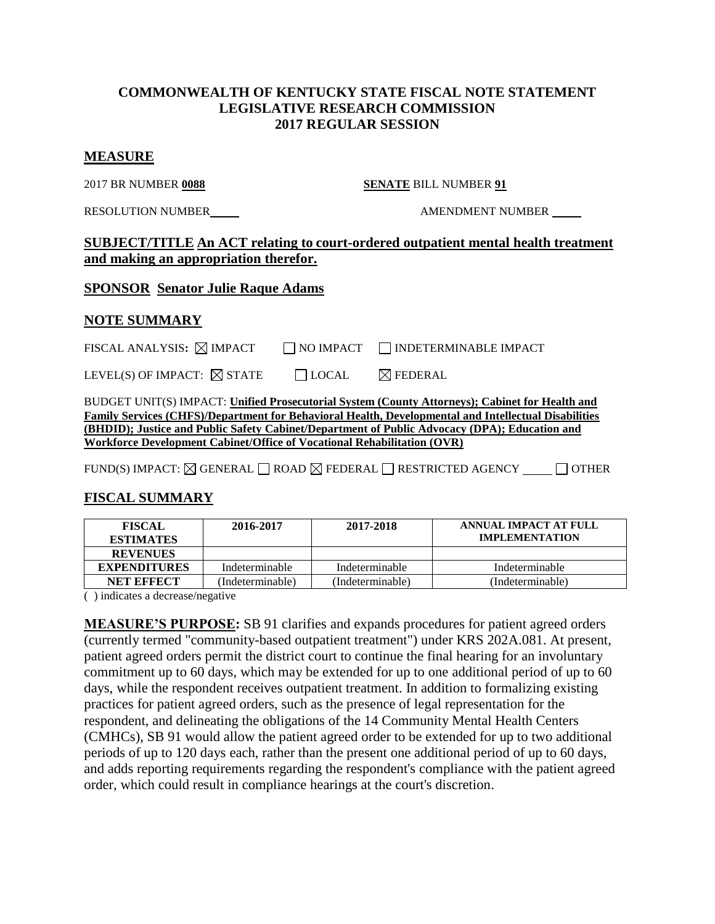### **COMMONWEALTH OF KENTUCKY STATE FISCAL NOTE STATEMENT LEGISLATIVE RESEARCH COMMISSION 2017 REGULAR SESSION**

#### **MEASURE**

2017 BR NUMBER **0088 SENATE** BILL NUMBER **91**

RESOLUTION NUMBER  $\qquad$   $\qquad$   $\qquad$   $\qquad$   $\qquad$   $\qquad$   $\qquad$   $\qquad$   $\qquad$   $\qquad$   $\qquad$   $\qquad$   $\qquad$   $\qquad$   $\qquad$   $\qquad$   $\qquad$   $\qquad$   $\qquad$   $\qquad$   $\qquad$   $\qquad$   $\qquad$   $\qquad$   $\qquad$   $\qquad$   $\qquad$   $\qquad$   $\qquad$   $\qquad$   $\qquad$   $\qquad$   $\qquad$   $\qquad$ 

### **SUBJECT/TITLE An ACT relating to court-ordered outpatient mental health treatment and making an appropriation therefor.**

### **SPONSOR Senator Julie Raque Adams**

### **NOTE SUMMARY**

FISCAL ANALYSIS:  $\boxtimes$  IMPACT  $\Box$  NO IMPACT  $\Box$  INDETERMINABLE IMPACT

|  | LEVEL(S) OF IMPACT: $\boxtimes$ STATE |  | $\Box$ LOCAL | $\boxtimes$ FEDERAL |
|--|---------------------------------------|--|--------------|---------------------|
|--|---------------------------------------|--|--------------|---------------------|

BUDGET UNIT(S) IMPACT: **Unified Prosecutorial System (County Attorneys); Cabinet for Health and Family Services (CHFS)/Department for Behavioral Health, Developmental and Intellectual Disabilities (BHDID); Justice and Public Safety Cabinet/Department of Public Advocacy (DPA); Education and Workforce Development Cabinet/Office of Vocational Rehabilitation (OVR)**

FUND(S) IMPACT:  $\boxtimes$  GENERAL  $\Box$  ROAD  $\boxtimes$  FEDERAL  $\Box$  RESTRICTED AGENCY  $\Box$  OTHER

## **FISCAL SUMMARY**

| <b>FISCAL</b><br><b>ESTIMATES</b> | 2016-2017        | 2017-2018        | ANNUAL IMPACT AT FULL<br><b>IMPLEMENTATION</b> |
|-----------------------------------|------------------|------------------|------------------------------------------------|
| <b>REVENUES</b>                   |                  |                  |                                                |
| <b>EXPENDITURES</b>               | Indeterminable   | Indeterminable   | Indeterminable                                 |
| <b>NET EFFECT</b>                 | (Indeterminable) | (Indeterminable) | (Indeterminable)                               |

( ) indicates a decrease/negative

**MEASURE'S PURPOSE:** SB 91 clarifies and expands procedures for patient agreed orders (currently termed "community-based outpatient treatment") under KRS 202A.081. At present, patient agreed orders permit the district court to continue the final hearing for an involuntary commitment up to 60 days, which may be extended for up to one additional period of up to 60 days, while the respondent receives outpatient treatment. In addition to formalizing existing practices for patient agreed orders, such as the presence of legal representation for the respondent, and delineating the obligations of the 14 Community Mental Health Centers (CMHCs), SB 91 would allow the patient agreed order to be extended for up to two additional periods of up to 120 days each, rather than the present one additional period of up to 60 days, and adds reporting requirements regarding the respondent's compliance with the patient agreed order, which could result in compliance hearings at the court's discretion.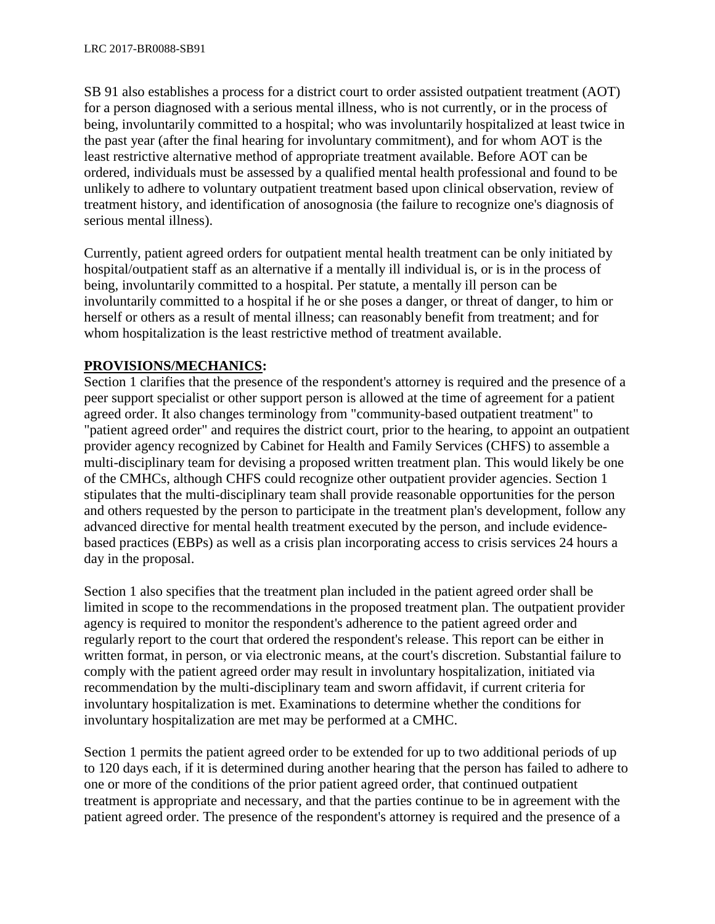SB 91 also establishes a process for a district court to order assisted outpatient treatment (AOT) for a person diagnosed with a serious mental illness, who is not currently, or in the process of being, involuntarily committed to a hospital; who was involuntarily hospitalized at least twice in the past year (after the final hearing for involuntary commitment), and for whom AOT is the least restrictive alternative method of appropriate treatment available. Before AOT can be ordered, individuals must be assessed by a qualified mental health professional and found to be unlikely to adhere to voluntary outpatient treatment based upon clinical observation, review of treatment history, and identification of anosognosia (the failure to recognize one's diagnosis of serious mental illness).

Currently, patient agreed orders for outpatient mental health treatment can be only initiated by hospital/outpatient staff as an alternative if a mentally ill individual is, or is in the process of being, involuntarily committed to a hospital. Per statute, a mentally ill person can be involuntarily committed to a hospital if he or she poses a danger, or threat of danger, to him or herself or others as a result of mental illness; can reasonably benefit from treatment; and for whom hospitalization is the least restrictive method of treatment available.

## **PROVISIONS/MECHANICS:**

Section 1 clarifies that the presence of the respondent's attorney is required and the presence of a peer support specialist or other support person is allowed at the time of agreement for a patient agreed order. It also changes terminology from "community-based outpatient treatment" to "patient agreed order" and requires the district court, prior to the hearing, to appoint an outpatient provider agency recognized by Cabinet for Health and Family Services (CHFS) to assemble a multi-disciplinary team for devising a proposed written treatment plan. This would likely be one of the CMHCs, although CHFS could recognize other outpatient provider agencies. Section 1 stipulates that the multi-disciplinary team shall provide reasonable opportunities for the person and others requested by the person to participate in the treatment plan's development, follow any advanced directive for mental health treatment executed by the person, and include evidencebased practices (EBPs) as well as a crisis plan incorporating access to crisis services 24 hours a day in the proposal.

Section 1 also specifies that the treatment plan included in the patient agreed order shall be limited in scope to the recommendations in the proposed treatment plan. The outpatient provider agency is required to monitor the respondent's adherence to the patient agreed order and regularly report to the court that ordered the respondent's release. This report can be either in written format, in person, or via electronic means, at the court's discretion. Substantial failure to comply with the patient agreed order may result in involuntary hospitalization, initiated via recommendation by the multi-disciplinary team and sworn affidavit, if current criteria for involuntary hospitalization is met. Examinations to determine whether the conditions for involuntary hospitalization are met may be performed at a CMHC.

Section 1 permits the patient agreed order to be extended for up to two additional periods of up to 120 days each, if it is determined during another hearing that the person has failed to adhere to one or more of the conditions of the prior patient agreed order, that continued outpatient treatment is appropriate and necessary, and that the parties continue to be in agreement with the patient agreed order. The presence of the respondent's attorney is required and the presence of a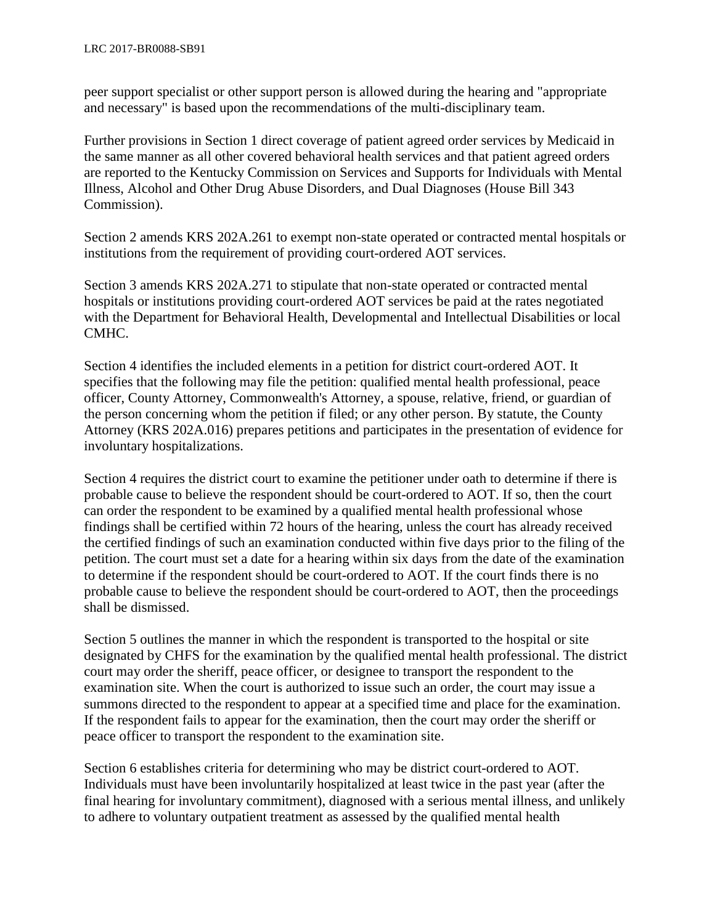peer support specialist or other support person is allowed during the hearing and "appropriate and necessary" is based upon the recommendations of the multi-disciplinary team.

Further provisions in Section 1 direct coverage of patient agreed order services by Medicaid in the same manner as all other covered behavioral health services and that patient agreed orders are reported to the Kentucky Commission on Services and Supports for Individuals with Mental Illness, Alcohol and Other Drug Abuse Disorders, and Dual Diagnoses (House Bill 343 Commission).

Section 2 amends KRS 202A.261 to exempt non-state operated or contracted mental hospitals or institutions from the requirement of providing court-ordered AOT services.

Section 3 amends KRS 202A.271 to stipulate that non-state operated or contracted mental hospitals or institutions providing court-ordered AOT services be paid at the rates negotiated with the Department for Behavioral Health, Developmental and Intellectual Disabilities or local CMHC.

Section 4 identifies the included elements in a petition for district court-ordered AOT. It specifies that the following may file the petition: qualified mental health professional, peace officer, County Attorney, Commonwealth's Attorney, a spouse, relative, friend, or guardian of the person concerning whom the petition if filed; or any other person. By statute, the County Attorney (KRS 202A.016) prepares petitions and participates in the presentation of evidence for involuntary hospitalizations.

Section 4 requires the district court to examine the petitioner under oath to determine if there is probable cause to believe the respondent should be court-ordered to AOT. If so, then the court can order the respondent to be examined by a qualified mental health professional whose findings shall be certified within 72 hours of the hearing, unless the court has already received the certified findings of such an examination conducted within five days prior to the filing of the petition. The court must set a date for a hearing within six days from the date of the examination to determine if the respondent should be court-ordered to AOT. If the court finds there is no probable cause to believe the respondent should be court-ordered to AOT, then the proceedings shall be dismissed.

Section 5 outlines the manner in which the respondent is transported to the hospital or site designated by CHFS for the examination by the qualified mental health professional. The district court may order the sheriff, peace officer, or designee to transport the respondent to the examination site. When the court is authorized to issue such an order, the court may issue a summons directed to the respondent to appear at a specified time and place for the examination. If the respondent fails to appear for the examination, then the court may order the sheriff or peace officer to transport the respondent to the examination site.

Section 6 establishes criteria for determining who may be district court-ordered to AOT. Individuals must have been involuntarily hospitalized at least twice in the past year (after the final hearing for involuntary commitment), diagnosed with a serious mental illness, and unlikely to adhere to voluntary outpatient treatment as assessed by the qualified mental health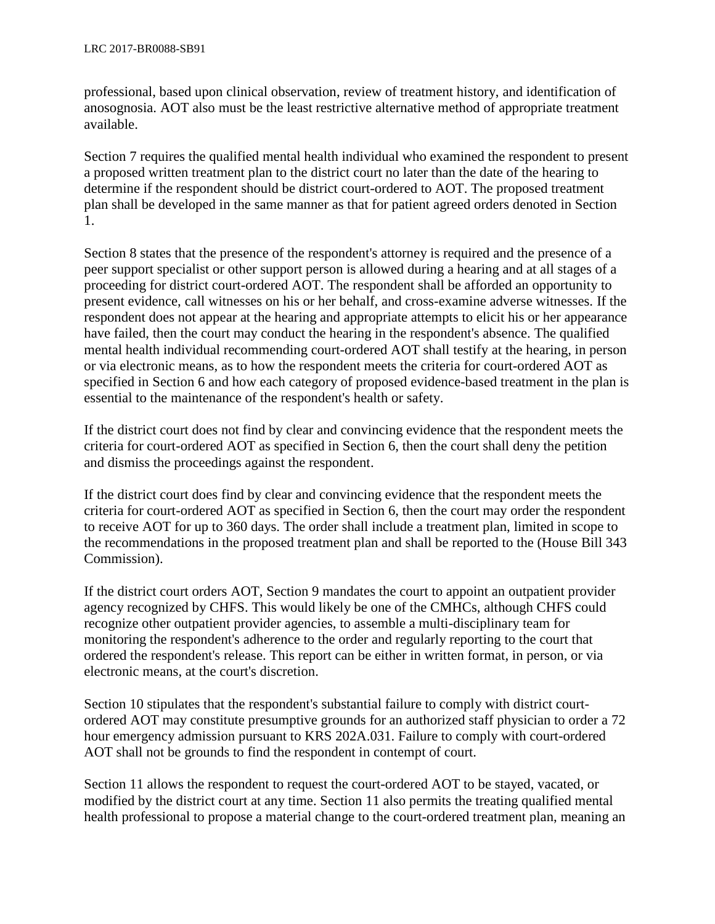professional, based upon clinical observation, review of treatment history, and identification of anosognosia. AOT also must be the least restrictive alternative method of appropriate treatment available.

Section 7 requires the qualified mental health individual who examined the respondent to present a proposed written treatment plan to the district court no later than the date of the hearing to determine if the respondent should be district court-ordered to AOT. The proposed treatment plan shall be developed in the same manner as that for patient agreed orders denoted in Section 1.

Section 8 states that the presence of the respondent's attorney is required and the presence of a peer support specialist or other support person is allowed during a hearing and at all stages of a proceeding for district court-ordered AOT. The respondent shall be afforded an opportunity to present evidence, call witnesses on his or her behalf, and cross-examine adverse witnesses. If the respondent does not appear at the hearing and appropriate attempts to elicit his or her appearance have failed, then the court may conduct the hearing in the respondent's absence. The qualified mental health individual recommending court-ordered AOT shall testify at the hearing, in person or via electronic means, as to how the respondent meets the criteria for court-ordered AOT as specified in Section 6 and how each category of proposed evidence-based treatment in the plan is essential to the maintenance of the respondent's health or safety.

If the district court does not find by clear and convincing evidence that the respondent meets the criteria for court-ordered AOT as specified in Section 6, then the court shall deny the petition and dismiss the proceedings against the respondent.

If the district court does find by clear and convincing evidence that the respondent meets the criteria for court-ordered AOT as specified in Section 6, then the court may order the respondent to receive AOT for up to 360 days. The order shall include a treatment plan, limited in scope to the recommendations in the proposed treatment plan and shall be reported to the (House Bill 343 Commission).

If the district court orders AOT, Section 9 mandates the court to appoint an outpatient provider agency recognized by CHFS. This would likely be one of the CMHCs, although CHFS could recognize other outpatient provider agencies, to assemble a multi-disciplinary team for monitoring the respondent's adherence to the order and regularly reporting to the court that ordered the respondent's release. This report can be either in written format, in person, or via electronic means, at the court's discretion.

Section 10 stipulates that the respondent's substantial failure to comply with district courtordered AOT may constitute presumptive grounds for an authorized staff physician to order a 72 hour emergency admission pursuant to KRS 202A.031. Failure to comply with court-ordered AOT shall not be grounds to find the respondent in contempt of court.

Section 11 allows the respondent to request the court-ordered AOT to be stayed, vacated, or modified by the district court at any time. Section 11 also permits the treating qualified mental health professional to propose a material change to the court-ordered treatment plan, meaning an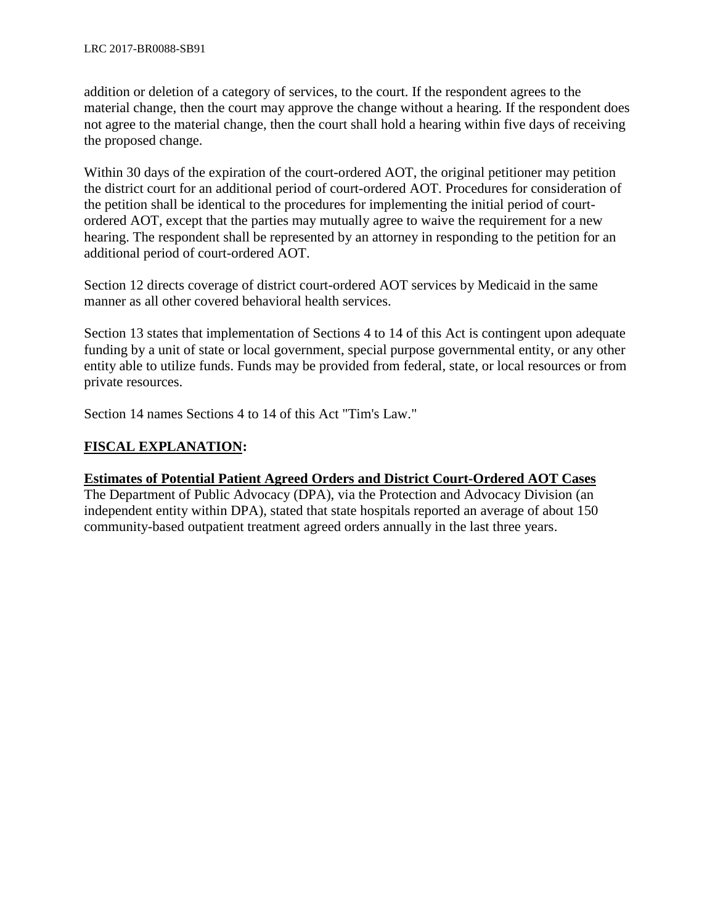addition or deletion of a category of services, to the court. If the respondent agrees to the material change, then the court may approve the change without a hearing. If the respondent does not agree to the material change, then the court shall hold a hearing within five days of receiving the proposed change.

Within 30 days of the expiration of the court-ordered AOT, the original petitioner may petition the district court for an additional period of court-ordered AOT. Procedures for consideration of the petition shall be identical to the procedures for implementing the initial period of courtordered AOT, except that the parties may mutually agree to waive the requirement for a new hearing. The respondent shall be represented by an attorney in responding to the petition for an additional period of court-ordered AOT.

Section 12 directs coverage of district court-ordered AOT services by Medicaid in the same manner as all other covered behavioral health services.

Section 13 states that implementation of Sections 4 to 14 of this Act is contingent upon adequate funding by a unit of state or local government, special purpose governmental entity, or any other entity able to utilize funds. Funds may be provided from federal, state, or local resources or from private resources.

Section 14 names Sections 4 to 14 of this Act "Tim's Law."

# **FISCAL EXPLANATION:**

## **Estimates of Potential Patient Agreed Orders and District Court-Ordered AOT Cases**

The Department of Public Advocacy (DPA), via the Protection and Advocacy Division (an independent entity within DPA), stated that state hospitals reported an average of about 150 community-based outpatient treatment agreed orders annually in the last three years.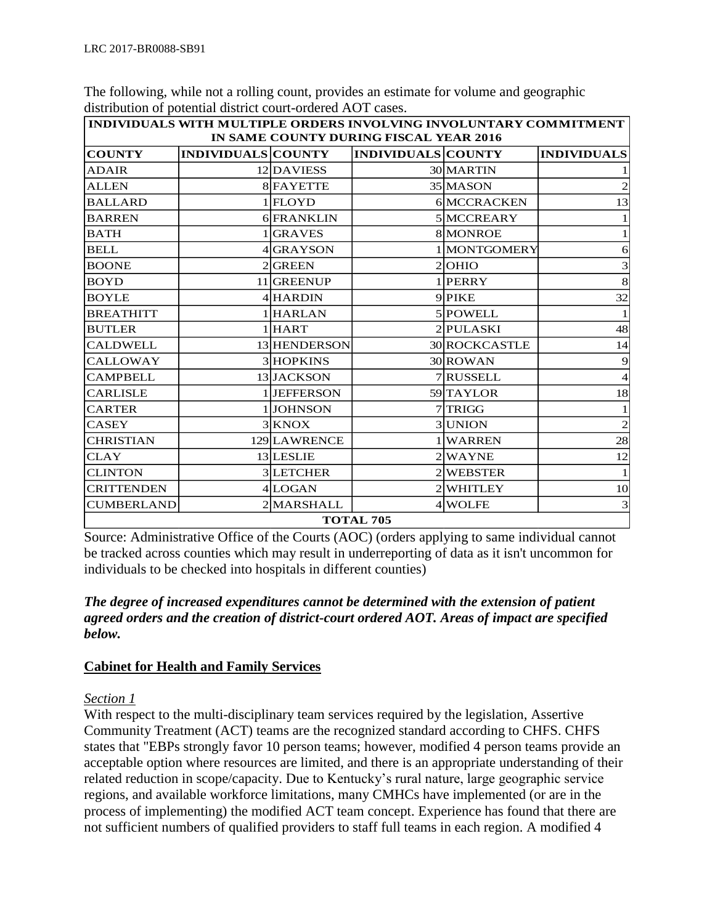| INDIVIDUALS WITH MULTIPLE ORDERS INVOLVING INVOLUNTARY COMMITMENT                                                                       |  |              |  |                |                |  |  |  |
|-----------------------------------------------------------------------------------------------------------------------------------------|--|--------------|--|----------------|----------------|--|--|--|
| IN SAME COUNTY DURING FISCAL YEAR 2016<br><b>COUNTY</b><br><b>INDIVIDUALS COUNTY</b><br><b>INDIVIDUALS COUNTY</b><br><b>INDIVIDUALS</b> |  |              |  |                |                |  |  |  |
| <b>ADAIR</b>                                                                                                                            |  | 12DAVIESS    |  | 30 MARTIN      |                |  |  |  |
| <b>ALLEN</b>                                                                                                                            |  | 8 FAYETTE    |  | 35 MASON       |                |  |  |  |
| <b>BALLARD</b>                                                                                                                          |  | $1$ FLOYD    |  | 6 MCCRACKEN    | 13             |  |  |  |
| <b>BARREN</b>                                                                                                                           |  | 6 FRANKLIN   |  | 5 MCCREARY     |                |  |  |  |
| <b>BATH</b>                                                                                                                             |  | 1 GRAVES     |  | 8 MONROE       |                |  |  |  |
| <b>BELL</b>                                                                                                                             |  | 4 GRAYSON    |  | 1 MONTGOMERY   | 6              |  |  |  |
| <b>BOONE</b>                                                                                                                            |  | 2 GREEN      |  | $2$ OHIO       | 3              |  |  |  |
| <b>BOYD</b>                                                                                                                             |  | 11 GREENUP   |  | 1 PERRY        | 8              |  |  |  |
| <b>BOYLE</b>                                                                                                                            |  | 4 HARDIN     |  | 9 PIKE         | 32             |  |  |  |
| <b>BREATHITT</b>                                                                                                                        |  | 1 HARLAN     |  | 5 POWELL       |                |  |  |  |
| <b>BUTLER</b>                                                                                                                           |  | $1$ HART     |  | 2 PULASKI      | 48             |  |  |  |
| <b>CALDWELL</b>                                                                                                                         |  | 13 HENDERSON |  | 30 ROCKCASTLE  | 14             |  |  |  |
| <b>CALLOWAY</b>                                                                                                                         |  | 3 HOPKINS    |  | 30 ROWAN       | 9              |  |  |  |
| <b>CAMPBELL</b>                                                                                                                         |  | 13 JACKSON   |  | 7 RUSSELL      | $\overline{4}$ |  |  |  |
| <b>CARLISLE</b>                                                                                                                         |  | 1JEFFERSON   |  | 59 TAYLOR      | 18             |  |  |  |
| <b>CARTER</b>                                                                                                                           |  | 1JOHNSON     |  | 7 TRIGG        |                |  |  |  |
| <b>CASEY</b>                                                                                                                            |  | 3 KNOX       |  | <b>3 UNION</b> | $\overline{2}$ |  |  |  |
| <b>CHRISTIAN</b>                                                                                                                        |  | 129 LAWRENCE |  | 1 WARREN       | 28             |  |  |  |
| <b>CLAY</b>                                                                                                                             |  | 13 LESLIE    |  | 2 WAYNE        | 12             |  |  |  |
| <b>CLINTON</b>                                                                                                                          |  | 3LETCHER     |  | 2 WEBSTER      |                |  |  |  |
| <b>CRITTENDEN</b>                                                                                                                       |  | 4LOGAN       |  | 2 WHITLEY      | 10             |  |  |  |
| <b>CUMBERLAND</b>                                                                                                                       |  | 2 MARSHALL   |  | 4 WOLFE        | 3              |  |  |  |
| <b>TOTAL 705</b>                                                                                                                        |  |              |  |                |                |  |  |  |

The following, while not a rolling count, provides an estimate for volume and geographic distribution of potential district court-ordered AOT cases.

Source: Administrative Office of the Courts (AOC) (orders applying to same individual cannot be tracked across counties which may result in underreporting of data as it isn't uncommon for individuals to be checked into hospitals in different counties)

## *The degree of increased expenditures cannot be determined with the extension of patient agreed orders and the creation of district-court ordered AOT. Areas of impact are specified below.*

## **Cabinet for Health and Family Services**

## *Section 1*

With respect to the multi-disciplinary team services required by the legislation, Assertive Community Treatment (ACT) teams are the recognized standard according to CHFS. CHFS states that "EBPs strongly favor 10 person teams; however, modified 4 person teams provide an acceptable option where resources are limited, and there is an appropriate understanding of their related reduction in scope/capacity. Due to Kentucky's rural nature, large geographic service regions, and available workforce limitations, many CMHCs have implemented (or are in the process of implementing) the modified ACT team concept. Experience has found that there are not sufficient numbers of qualified providers to staff full teams in each region. A modified 4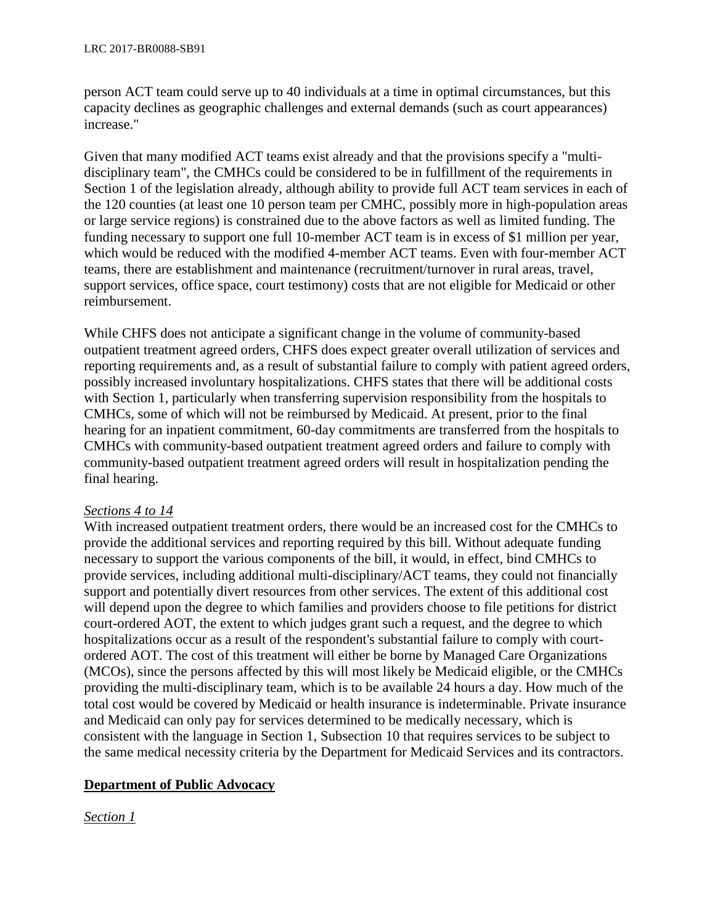person ACT team could serve up to 40 individuals at a time in optimal circumstances, but this capacity declines as geographic challenges and external demands (such as court appearances) increase."

Given that many modified ACT teams exist already and that the provisions specify a "multidisciplinary team", the CMHCs could be considered to be in fulfillment of the requirements in Section 1 of the legislation already, although ability to provide full ACT team services in each of the 120 counties (at least one 10 person team per CMHC, possibly more in high-population areas or large service regions) is constrained due to the above factors as well as limited funding. The funding necessary to support one full 10-member ACT team is in excess of \$1 million per year, which would be reduced with the modified 4-member ACT teams. Even with four-member ACT teams, there are establishment and maintenance (recruitment/turnover in rural areas, travel, support services, office space, court testimony) costs that are not eligible for Medicaid or other reimbursement.

While CHFS does not anticipate a significant change in the volume of community-based outpatient treatment agreed orders, CHFS does expect greater overall utilization of services and reporting requirements and, as a result of substantial failure to comply with patient agreed orders, possibly increased involuntary hospitalizations. CHFS states that there will be additional costs with Section 1, particularly when transferring supervision responsibility from the hospitals to CMHCs, some of which will not be reimbursed by Medicaid. At present, prior to the final hearing for an inpatient commitment, 60-day commitments are transferred from the hospitals to CMHCs with community-based outpatient treatment agreed orders and failure to comply with community-based outpatient treatment agreed orders will result in hospitalization pending the final hearing.

## *Sections 4 to 14*

With increased outpatient treatment orders, there would be an increased cost for the CMHCs to provide the additional services and reporting required by this bill. Without adequate funding necessary to support the various components of the bill, it would, in effect, bind CMHCs to provide services, including additional multi-disciplinary/ACT teams, they could not financially support and potentially divert resources from other services. The extent of this additional cost will depend upon the degree to which families and providers choose to file petitions for district court-ordered AOT, the extent to which judges grant such a request, and the degree to which hospitalizations occur as a result of the respondent's substantial failure to comply with courtordered AOT. The cost of this treatment will either be borne by Managed Care Organizations (MCOs), since the persons affected by this will most likely be Medicaid eligible, or the CMHCs providing the multi-disciplinary team, which is to be available 24 hours a day. How much of the total cost would be covered by Medicaid or health insurance is indeterminable. Private insurance and Medicaid can only pay for services determined to be medically necessary, which is consistent with the language in Section 1, Subsection 10 that requires services to be subject to the same medical necessity criteria by the Department for Medicaid Services and its contractors.

## **Department of Public Advocacy**

## *Section 1*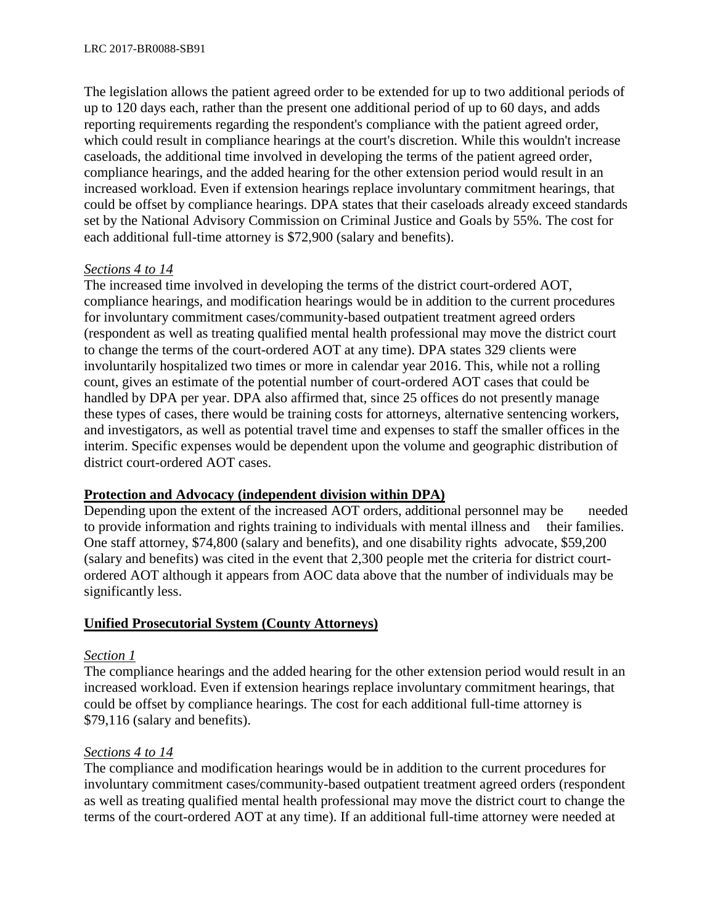The legislation allows the patient agreed order to be extended for up to two additional periods of up to 120 days each, rather than the present one additional period of up to 60 days, and adds reporting requirements regarding the respondent's compliance with the patient agreed order, which could result in compliance hearings at the court's discretion. While this wouldn't increase caseloads, the additional time involved in developing the terms of the patient agreed order, compliance hearings, and the added hearing for the other extension period would result in an increased workload. Even if extension hearings replace involuntary commitment hearings, that could be offset by compliance hearings. DPA states that their caseloads already exceed standards set by the National Advisory Commission on Criminal Justice and Goals by 55%. The cost for each additional full-time attorney is \$72,900 (salary and benefits).

## *Sections 4 to 14*

The increased time involved in developing the terms of the district court-ordered AOT, compliance hearings, and modification hearings would be in addition to the current procedures for involuntary commitment cases/community-based outpatient treatment agreed orders (respondent as well as treating qualified mental health professional may move the district court to change the terms of the court-ordered AOT at any time). DPA states 329 clients were involuntarily hospitalized two times or more in calendar year 2016. This, while not a rolling count, gives an estimate of the potential number of court-ordered AOT cases that could be handled by DPA per year. DPA also affirmed that, since 25 offices do not presently manage these types of cases, there would be training costs for attorneys, alternative sentencing workers, and investigators, as well as potential travel time and expenses to staff the smaller offices in the interim. Specific expenses would be dependent upon the volume and geographic distribution of district court-ordered AOT cases.

## **Protection and Advocacy (independent division within DPA)**

Depending upon the extent of the increased AOT orders, additional personnel may be needed to provide information and rights training to individuals with mental illness and their families. One staff attorney, \$74,800 (salary and benefits), and one disability rights advocate, \$59,200 (salary and benefits) was cited in the event that 2,300 people met the criteria for district courtordered AOT although it appears from AOC data above that the number of individuals may be significantly less.

### **Unified Prosecutorial System (County Attorneys)**

### *Section 1*

The compliance hearings and the added hearing for the other extension period would result in an increased workload. Even if extension hearings replace involuntary commitment hearings, that could be offset by compliance hearings. The cost for each additional full-time attorney is \$79,116 (salary and benefits).

### *Sections 4 to 14*

The compliance and modification hearings would be in addition to the current procedures for involuntary commitment cases/community-based outpatient treatment agreed orders (respondent as well as treating qualified mental health professional may move the district court to change the terms of the court-ordered AOT at any time). If an additional full-time attorney were needed at